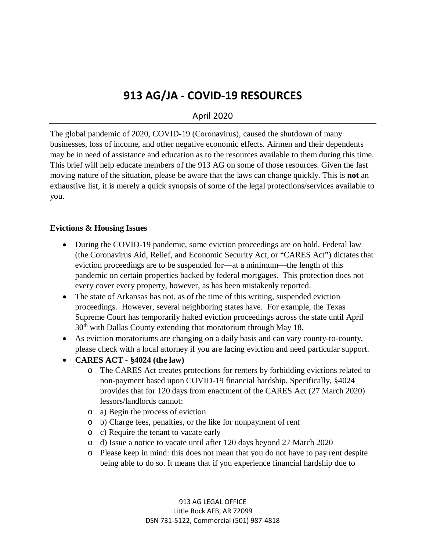# **913 AG/JA - COVID-19 RESOURCES**

## April 2020

The global pandemic of 2020, COVID-19 (Coronavirus), caused the shutdown of many businesses, loss of income, and other negative economic effects. Airmen and their dependents may be in need of assistance and education as to the resources available to them during this time. This brief will help educate members of the 913 AG on some of those resources. Given the fast moving nature of the situation, please be aware that the laws can change quickly. This is **not** an exhaustive list, it is merely a quick synopsis of some of the legal protections/services available to you.

#### **Evictions & Housing Issues**

- During the COVID-19 pandemic, some eviction proceedings are on hold. Federal law (the Coronavirus Aid, Relief, and Economic Security Act, or "CARES Act") dictates that eviction proceedings are to be suspended for—at a minimum—the length of this pandemic on certain properties backed by federal mortgages. This protection does not every cover every property, however, as has been mistakenly reported.
- The state of Arkansas has not, as of the time of this writing, suspended eviction proceedings. However, several neighboring states have. For example, the Texas Supreme Court has temporarily halted eviction proceedings across the state until April  $30<sup>th</sup>$  with Dallas County extending that moratorium through May 18.
- As eviction moratoriums are changing on a daily basis and can vary county-to-county, please check with a local attorney if you are facing eviction and need particular support.
- **CARES ACT - §4024 (the law)**
	- o The CARES Act creates protections for renters by forbidding evictions related to non-payment based upon COVID-19 financial hardship. Specifically, §4024 provides that for 120 days from enactment of the CARES Act (27 March 2020) lessors/landlords cannot:
	- o a) Begin the process of eviction
	- o b) Charge fees, penalties, or the like for nonpayment of rent
	- o c) Require the tenant to vacate early
	- o d) Issue a notice to vacate until after 120 days beyond 27 March 2020
	- o Please keep in mind: this does not mean that you do not have to pay rent despite being able to do so. It means that if you experience financial hardship due to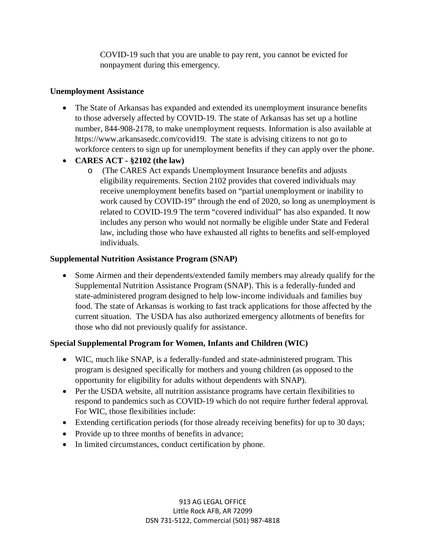COVID-19 such that you are unable to pay rent, you cannot be evicted for nonpayment during this emergency.

#### **Unemployment Assistance**

- The State of Arkansas has expanded and extended its unemployment insurance benefits to those adversely affected by COVID-19. The state of Arkansas has set up a hotline number, 844-908-2178, to make unemployment requests. Information is also available at https://www.arkansasedc.com/covid19. The state is advising citizens to not go to workforce centers to sign up for unemployment benefits if they can apply over the phone.
- **CARES ACT - §2102 (the law)**
	- o (The CARES Act expands Unemployment Insurance benefits and adjusts eligibility requirements. Section 2102 provides that covered individuals may receive unemployment benefits based on "partial unemployment or inability to work caused by COVID-19" through the end of 2020, so long as unemployment is related to COVID-19.9 The term "covered individual" has also expanded. It now includes any person who would not normally be eligible under State and Federal law, including those who have exhausted all rights to benefits and self-employed individuals.

#### **Supplemental Nutrition Assistance Program (SNAP)**

• Some Airmen and their dependents/extended family members may already qualify for the Supplemental Nutrition Assistance Program (SNAP). This is a federally-funded and state-administered program designed to help low-income individuals and families buy food. The state of Arkansas is working to fast track applications for those affected by the current situation. The USDA has also authorized emergency allotments of benefits for those who did not previously qualify for assistance.

### **Special Supplemental Program for Women, Infants and Children (WIC)**

- WIC, much like SNAP, is a federally-funded and state-administered program. This program is designed specifically for mothers and young children (as opposed to the opportunity for eligibility for adults without dependents with SNAP).
- Per the USDA website, all nutrition assistance programs have certain flexibilities to respond to pandemics such as COVID-19 which do not require further federal approval. For WIC, those flexibilities include:
- Extending certification periods (for those already receiving benefits) for up to 30 days;
- Provide up to three months of benefits in advance;
- In limited circumstances, conduct certification by phone.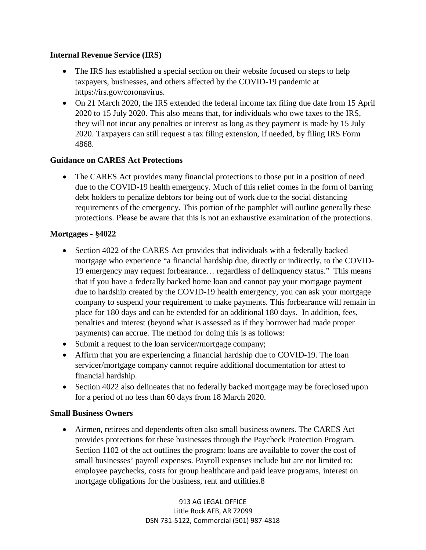#### **Internal Revenue Service (IRS)**

- The IRS has established a special section on their website focused on steps to help taxpayers, businesses, and others affected by the COVID-19 pandemic at https://irs.gov/coronavirus.
- On 21 March 2020, the IRS extended the federal income tax filing due date from 15 April 2020 to 15 July 2020. This also means that, for individuals who owe taxes to the IRS, they will not incur any penalties or interest as long as they payment is made by 15 July 2020. Taxpayers can still request a tax filing extension, if needed, by filing IRS Form 4868.

#### **Guidance on CARES Act Protections**

• The CARES Act provides many financial protections to those put in a position of need due to the COVID-19 health emergency. Much of this relief comes in the form of barring debt holders to penalize debtors for being out of work due to the social distancing requirements of the emergency. This portion of the pamphlet will outline generally these protections. Please be aware that this is not an exhaustive examination of the protections.

#### **Mortgages - §4022**

- Section 4022 of the CARES Act provides that individuals with a federally backed mortgage who experience "a financial hardship due, directly or indirectly, to the COVID-19 emergency may request forbearance… regardless of delinquency status." This means that if you have a federally backed home loan and cannot pay your mortgage payment due to hardship created by the COVID-19 health emergency, you can ask your mortgage company to suspend your requirement to make payments. This forbearance will remain in place for 180 days and can be extended for an additional 180 days. In addition, fees, penalties and interest (beyond what is assessed as if they borrower had made proper payments) can accrue. The method for doing this is as follows:
- Submit a request to the loan servicer/mortgage company;
- Affirm that you are experiencing a financial hardship due to COVID-19. The loan servicer/mortgage company cannot require additional documentation for attest to financial hardship.
- Section 4022 also delineates that no federally backed mortgage may be foreclosed upon for a period of no less than 60 days from 18 March 2020.

#### **Small Business Owners**

• Airmen, retirees and dependents often also small business owners. The CARES Act provides protections for these businesses through the Paycheck Protection Program. Section 1102 of the act outlines the program: loans are available to cover the cost of small businesses' payroll expenses. Payroll expenses include but are not limited to: employee paychecks, costs for group healthcare and paid leave programs, interest on mortgage obligations for the business, rent and utilities.8